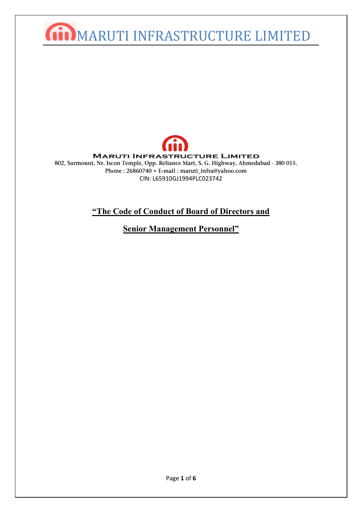## **Giil MARUTI INFRASTRUCTURE LIMITED**



## **"The Code of Conduct of Board of Directors and**

**Senior Management Personnel"**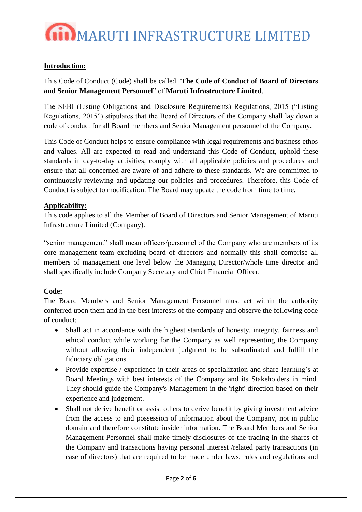## **Introduction:**

This Code of Conduct (Code) shall be called "**The Code of Conduct of Board of Directors and Senior Management Personnel**" of **Maruti Infrastructure Limited**.

The SEBI (Listing Obligations and Disclosure Requirements) Regulations, 2015 ("Listing Regulations, 2015") stipulates that the Board of Directors of the Company shall lay down a code of conduct for all Board members and Senior Management personnel of the Company.

This Code of Conduct helps to ensure compliance with legal requirements and business ethos and values. All are expected to read and understand this Code of Conduct, uphold these standards in day-to-day activities, comply with all applicable policies and procedures and ensure that all concerned are aware of and adhere to these standards. We are committed to continuously reviewing and updating our policies and procedures. Therefore, this Code of Conduct is subject to modification. The Board may update the code from time to time.

### **Applicability:**

This code applies to all the Member of Board of Directors and Senior Management of Maruti Infrastructure Limited (Company).

"senior management" shall mean officers/personnel of the Company who are members of its core management team excluding board of directors and normally this shall comprise all members of management one level below the Managing Director/whole time director and shall specifically include Company Secretary and Chief Financial Officer.

## **Code:**

The Board Members and Senior Management Personnel must act within the authority conferred upon them and in the best interests of the company and observe the following code of conduct:

- Shall act in accordance with the highest standards of honesty, integrity, fairness and ethical conduct while working for the Company as well representing the Company without allowing their independent judgment to be subordinated and fulfill the fiduciary obligations.
- Provide expertise / experience in their areas of specialization and share learning's at Board Meetings with best interests of the Company and its Stakeholders in mind. They should guide the Company's Management in the 'right' direction based on their experience and judgement.
- Shall not derive benefit or assist others to derive benefit by giving investment advice from the access to and possession of information about the Company, not in public domain and therefore constitute insider information. The Board Members and Senior Management Personnel shall make timely disclosures of the trading in the shares of the Company and transactions having personal interest /related party transactions (in case of directors) that are required to be made under laws, rules and regulations and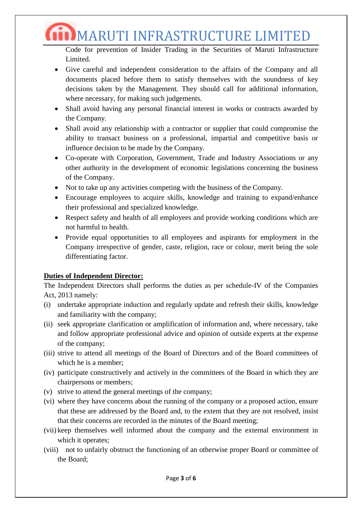$\dim$ MARUTI INFRASTRUCTURE LIMITED

Code for prevention of Insider Trading in the Securities of Maruti Infrastructure Limited.

- Give careful and independent consideration to the affairs of the Company and all documents placed before them to satisfy themselves with the soundness of key decisions taken by the Management. They should call for additional information, where necessary, for making such judgements.
- Shall avoid having any personal financial interest in works or contracts awarded by the Company.
- Shall avoid any relationship with a contractor or supplier that could compromise the ability to transact business on a professional, impartial and competitive basis or influence decision to be made by the Company.
- Co-operate with Corporation, Government, Trade and Industry Associations or any other authority in the development of economic legislations concerning the business of the Company.
- Not to take up any activities competing with the business of the Company.
- Encourage employees to acquire skills, knowledge and training to expand/enhance their professional and specialized knowledge.
- Respect safety and health of all employees and provide working conditions which are not harmful to health.
- Provide equal opportunities to all employees and aspirants for employment in the Company irrespective of gender, caste, religion, race or colour, merit being the sole differentiating factor.

## **Duties of Independent Director:**

The Independent Directors shall performs the duties as per schedule-IV of the Companies Act, 2013 namely:

- (i) undertake appropriate induction and regularly update and refresh their skills, knowledge and familiarity with the company;
- (ii) seek appropriate clarification or amplification of information and, where necessary, take and follow appropriate professional advice and opinion of outside experts at the expense of the company;
- (iii) strive to attend all meetings of the Board of Directors and of the Board committees of which he is a member;
- (iv) participate constructively and actively in the committees of the Board in which they are chairpersons or members;
- (v) strive to attend the general meetings of the company;
- (vi) where they have concerns about the running of the company or a proposed action, ensure that these are addressed by the Board and, to the extent that they are not resolved, insist that their concerns are recorded in the minutes of the Board meeting;
- (vii) keep themselves well informed about the company and the external environment in which it operates;
- (viii) not to unfairly obstruct the functioning of an otherwise proper Board or committee of the Board;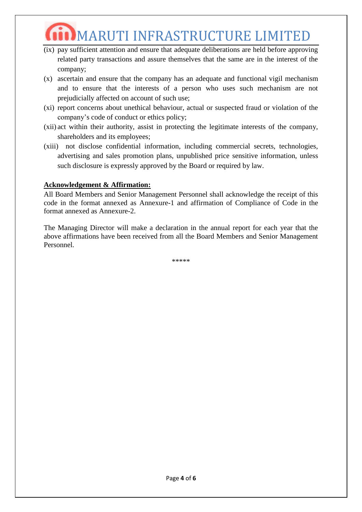# $\dot{\mathbf{m}}$ MARUTI INFRASTRUCTURE LIMITED

- (ix) pay sufficient attention and ensure that adequate deliberations are held before approving related party transactions and assure themselves that the same are in the interest of the company;
- (x) ascertain and ensure that the company has an adequate and functional vigil mechanism and to ensure that the interests of a person who uses such mechanism are not prejudicially affected on account of such use;
- (xi) report concerns about unethical behaviour, actual or suspected fraud or violation of the company's code of conduct or ethics policy;
- (xii) act within their authority, assist in protecting the legitimate interests of the company, shareholders and its employees;
- (xiii) not disclose confidential information, including commercial secrets, technologies, advertising and sales promotion plans, unpublished price sensitive information, unless such disclosure is expressly approved by the Board or required by law.

#### **Acknowledgement & Affirmation:**

All Board Members and Senior Management Personnel shall acknowledge the receipt of this code in the format annexed as Annexure-1 and affirmation of Compliance of Code in the format annexed as Annexure-2.

The Managing Director will make a declaration in the annual report for each year that the above affirmations have been received from all the Board Members and Senior Management Personnel.

\*\*\*\*\*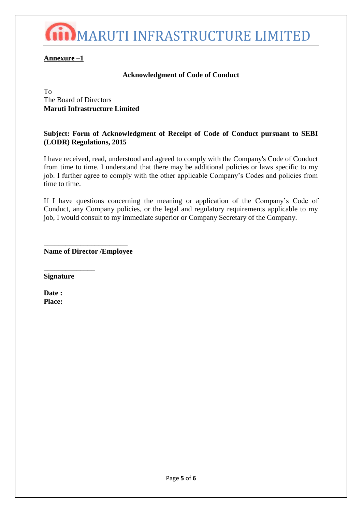

### **Annexure –1**

#### **Acknowledgment of Code of Conduct**

To The Board of Directors **Maruti Infrastructure Limited**

#### **Subject: Form of Acknowledgment of Receipt of Code of Conduct pursuant to SEBI (LODR) Regulations, 2015**

I have received, read, understood and agreed to comply with the Company's Code of Conduct from time to time. I understand that there may be additional policies or laws specific to my job. I further agree to comply with the other applicable Company's Codes and policies from time to time.

If I have questions concerning the meaning or application of the Company's Code of Conduct, any Company policies, or the legal and regulatory requirements applicable to my job, I would consult to my immediate superior or Company Secretary of the Company.

\_\_\_\_\_\_\_\_\_\_\_\_\_\_\_\_\_\_\_\_\_\_\_ **Name of Director /Employee**

**Signature** 

\_\_\_\_\_\_\_\_\_\_\_\_\_\_

**Date : Place:**